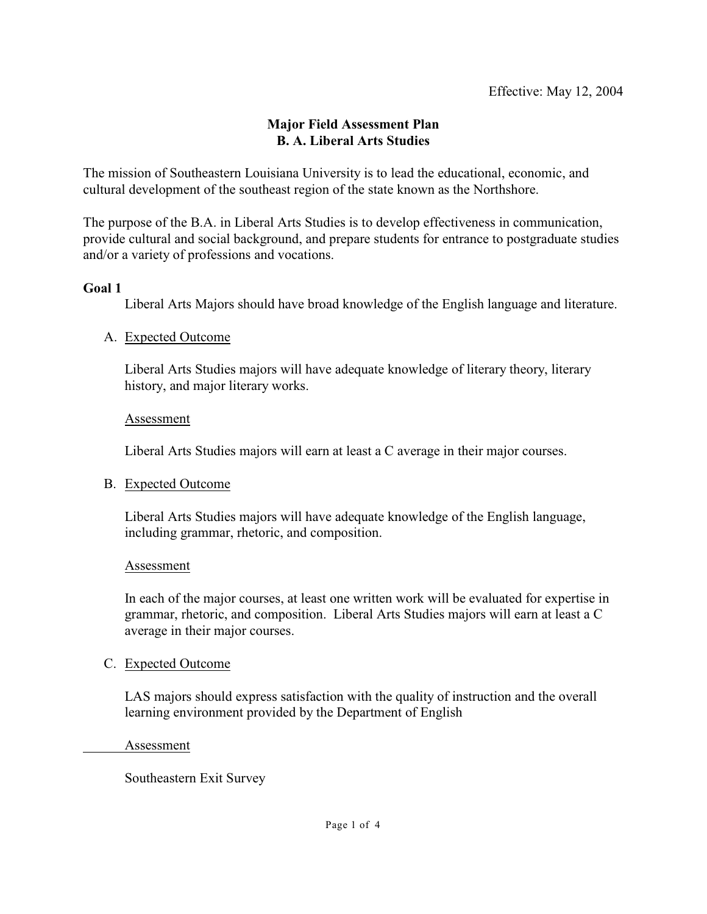# **Major Field Assessment Plan B. A. Liberal Arts Studies**

The mission of Southeastern Louisiana University is to lead the educational, economic, and cultural development of the southeast region of the state known as the Northshore.

The purpose of the B.A. in Liberal Arts Studies is to develop effectiveness in communication, provide cultural and social background, and prepare students for entrance to postgraduate studies and/or a variety of professions and vocations.

### **Goal 1**

Liberal Arts Majors should have broad knowledge of the English language and literature.

### A. Expected Outcome

Liberal Arts Studies majors will have adequate knowledge of literary theory, literary history, and major literary works.

### Assessment

Liberal Arts Studies majors will earn at least a C average in their major courses.

### B. Expected Outcome

Liberal Arts Studies majors will have adequate knowledge of the English language, including grammar, rhetoric, and composition.

### Assessment

In each of the major courses, at least one written work will be evaluated for expertise in grammar, rhetoric, and composition. Liberal Arts Studies majors will earn at least a C average in their major courses.

### C. Expected Outcome

LAS majors should express satisfaction with the quality of instruction and the overall learning environment provided by the Department of English

Assessment

Southeastern Exit Survey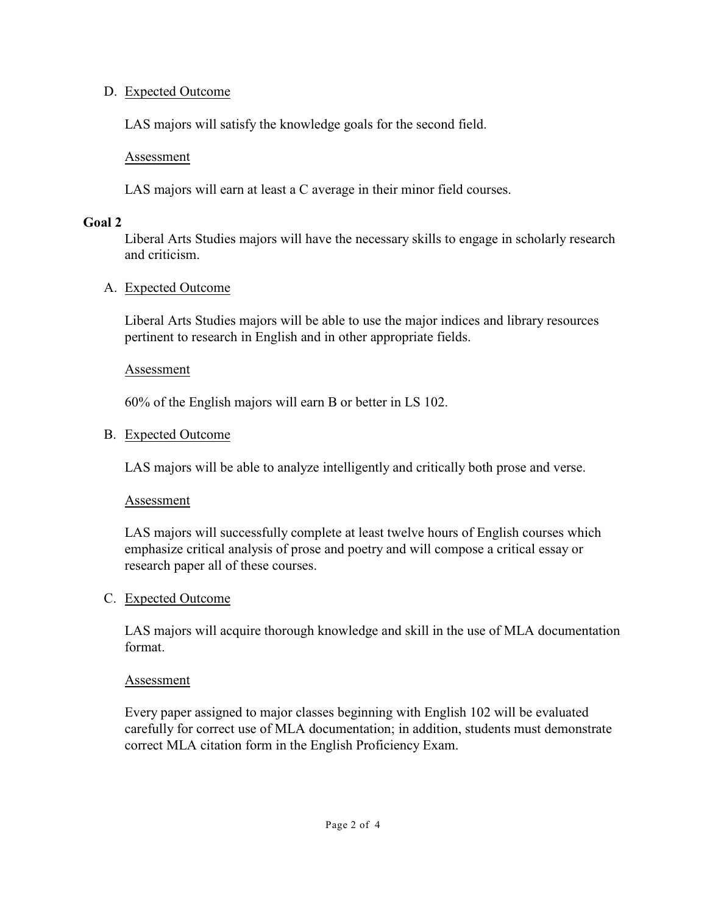## D. Expected Outcome

LAS majors will satisfy the knowledge goals for the second field.

Assessment

LAS majors will earn at least a C average in their minor field courses.

#### **Goal 2**

Liberal Arts Studies majors will have the necessary skills to engage in scholarly research and criticism.

### A. Expected Outcome

Liberal Arts Studies majors will be able to use the major indices and library resources pertinent to research in English and in other appropriate fields.

#### Assessment

60% of the English majors will earn B or better in LS 102.

### B. Expected Outcome

LAS majors will be able to analyze intelligently and critically both prose and verse.

### Assessment

LAS majors will successfully complete at least twelve hours of English courses which emphasize critical analysis of prose and poetry and will compose a critical essay or research paper all of these courses.

### C. Expected Outcome

LAS majors will acquire thorough knowledge and skill in the use of MLA documentation format.

#### Assessment

Every paper assigned to major classes beginning with English 102 will be evaluated carefully for correct use of MLA documentation; in addition, students must demonstrate correct MLA citation form in the English Proficiency Exam.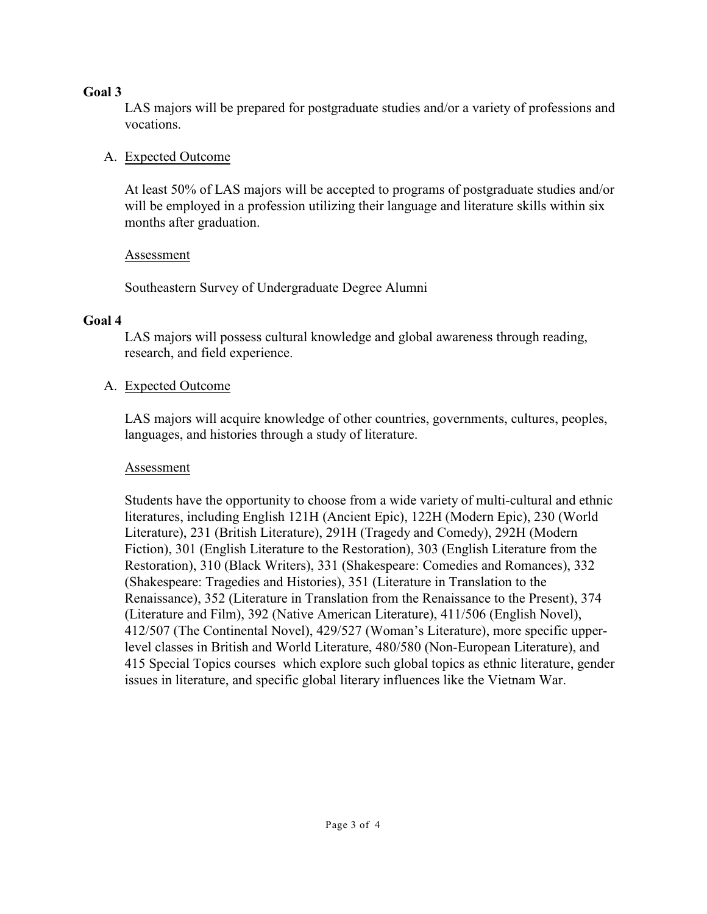## **Goal 3**

LAS majors will be prepared for postgraduate studies and/or a variety of professions and vocations.

# A. Expected Outcome

At least 50% of LAS majors will be accepted to programs of postgraduate studies and/or will be employed in a profession utilizing their language and literature skills within six months after graduation.

### Assessment

Southeastern Survey of Undergraduate Degree Alumni

## **Goal 4**

LAS majors will possess cultural knowledge and global awareness through reading, research, and field experience.

## A. Expected Outcome

LAS majors will acquire knowledge of other countries, governments, cultures, peoples, languages, and histories through a study of literature.

### Assessment

Students have the opportunity to choose from a wide variety of multi-cultural and ethnic literatures, including English 121H (Ancient Epic), 122H (Modern Epic), 230 (World Literature), 231 (British Literature), 291H (Tragedy and Comedy), 292H (Modern Fiction), 301 (English Literature to the Restoration), 303 (English Literature from the Restoration), 310 (Black Writers), 331 (Shakespeare: Comedies and Romances), 332 (Shakespeare: Tragedies and Histories), 351 (Literature in Translation to the Renaissance), 352 (Literature in Translation from the Renaissance to the Present), 374 (Literature and Film), 392 (Native American Literature), 411/506 (English Novel), 412/507 (The Continental Novel), 429/527 (Woman's Literature), more specific upperlevel classes in British and World Literature, 480/580 (Non-European Literature), and 415 Special Topics courses which explore such global topics as ethnic literature, gender issues in literature, and specific global literary influences like the Vietnam War.